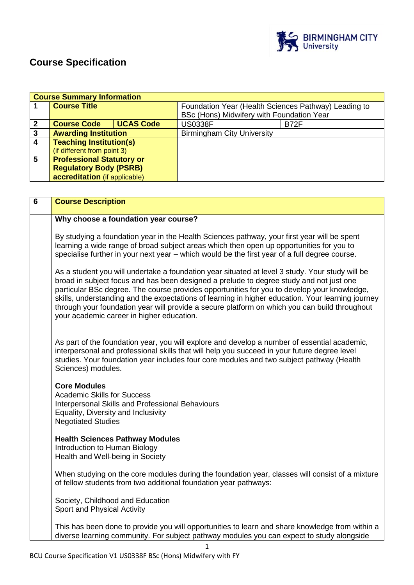

# **Course Specification**

| <b>Course Summary Information</b> |                                  |                  |                                                      |             |
|-----------------------------------|----------------------------------|------------------|------------------------------------------------------|-------------|
|                                   | <b>Course Title</b>              |                  | Foundation Year (Health Sciences Pathway) Leading to |             |
|                                   |                                  |                  | BSc (Hons) Midwifery with Foundation Year            |             |
| 2                                 | <b>Course Code</b>               | <b>UCAS Code</b> | <b>US0338F</b>                                       | <b>B72F</b> |
| 3                                 | <b>Awarding Institution</b>      |                  | <b>Birmingham City University</b>                    |             |
| 4                                 | <b>Teaching Institution(s)</b>   |                  |                                                      |             |
|                                   | (if different from point 3)      |                  |                                                      |             |
| 5                                 | <b>Professional Statutory or</b> |                  |                                                      |             |
|                                   | <b>Regulatory Body (PSRB)</b>    |                  |                                                      |             |
|                                   | accreditation (if applicable)    |                  |                                                      |             |

| 6 | <b>Course Description</b>                                                                                                                                                                                                                                                                                                                                                                                                                                                                                                                    |
|---|----------------------------------------------------------------------------------------------------------------------------------------------------------------------------------------------------------------------------------------------------------------------------------------------------------------------------------------------------------------------------------------------------------------------------------------------------------------------------------------------------------------------------------------------|
|   | Why choose a foundation year course?                                                                                                                                                                                                                                                                                                                                                                                                                                                                                                         |
|   | By studying a foundation year in the Health Sciences pathway, your first year will be spent<br>learning a wide range of broad subject areas which then open up opportunities for you to<br>specialise further in your next year - which would be the first year of a full degree course.                                                                                                                                                                                                                                                     |
|   | As a student you will undertake a foundation year situated at level 3 study. Your study will be<br>broad in subject focus and has been designed a prelude to degree study and not just one<br>particular BSc degree. The course provides opportunities for you to develop your knowledge,<br>skills, understanding and the expectations of learning in higher education. Your learning journey<br>through your foundation year will provide a secure platform on which you can build throughout<br>your academic career in higher education. |
|   | As part of the foundation year, you will explore and develop a number of essential academic,<br>interpersonal and professional skills that will help you succeed in your future degree level<br>studies. Your foundation year includes four core modules and two subject pathway (Health<br>Sciences) modules.                                                                                                                                                                                                                               |
|   | <b>Core Modules</b><br><b>Academic Skills for Success</b><br>Interpersonal Skills and Professional Behaviours<br>Equality, Diversity and Inclusivity<br><b>Negotiated Studies</b>                                                                                                                                                                                                                                                                                                                                                            |
|   | <b>Health Sciences Pathway Modules</b><br>Introduction to Human Biology<br>Health and Well-being in Society                                                                                                                                                                                                                                                                                                                                                                                                                                  |
|   | When studying on the core modules during the foundation year, classes will consist of a mixture<br>of fellow students from two additional foundation year pathways:                                                                                                                                                                                                                                                                                                                                                                          |
|   | Society, Childhood and Education<br>Sport and Physical Activity                                                                                                                                                                                                                                                                                                                                                                                                                                                                              |
|   | This has been done to provide you will opportunities to learn and share knowledge from within a<br>diverse learning community. For subject pathway modules you can expect to study alongside                                                                                                                                                                                                                                                                                                                                                 |

1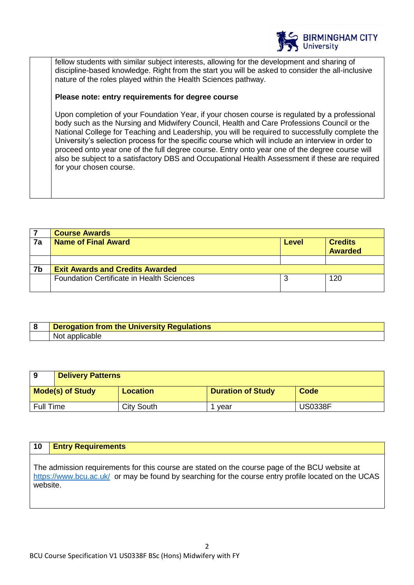

fellow students with similar subject interests, allowing for the development and sharing of discipline-based knowledge. Right from the start you will be asked to consider the all-inclusive nature of the roles played within the Health Sciences pathway.

# **Please note: entry requirements for degree course**

Upon completion of your Foundation Year, if your chosen course is regulated by a professional body such as the Nursing and Midwifery Council, Health and Care Professions Council or the National College for Teaching and Leadership, you will be required to successfully complete the University's selection process for the specific course which will include an interview in order to proceed onto year one of the full degree course. Entry onto year one of the degree course will also be subject to a satisfactory DBS and Occupational Health Assessment if these are required for your chosen course.

|    | <b>Course Awards</b>                             |       |                                  |
|----|--------------------------------------------------|-------|----------------------------------|
| 7a | <b>Name of Final Award</b>                       | Level | <b>Credits</b><br><b>Awarded</b> |
|    |                                                  |       |                                  |
| 7b | <b>Exit Awards and Credits Awarded</b>           |       |                                  |
|    | <b>Foundation Certificate in Health Sciences</b> |       | 120                              |

| <b>Derogation from the University Regulations</b> |
|---------------------------------------------------|
| Not.<br>applicable                                |

| 9                | <b>Delivery Patterns</b> |                   |                          |                |
|------------------|--------------------------|-------------------|--------------------------|----------------|
|                  | <b>Mode(s) of Study</b>  | <b>Location</b>   | <b>Duration of Study</b> | Code           |
| <b>Full Time</b> |                          | <b>City South</b> | vear                     | <b>US0338F</b> |

# **10 Entry Requirements**

The admission requirements for this course are stated on the course page of the BCU website at <https://www.bcu.ac.uk/>or may be found by searching for the course entry profile located on the UCAS website.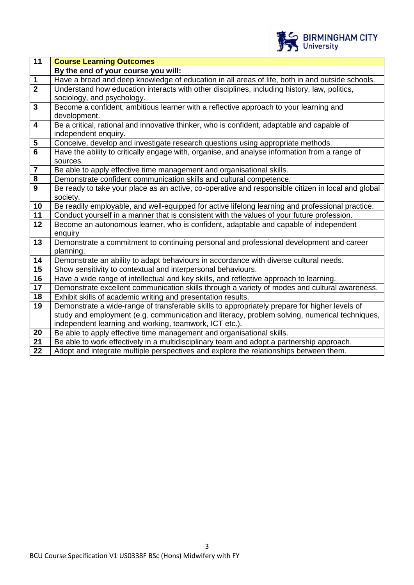

| Have a broad and deep knowledge of education in all areas of life, both in and outside schools.      |  |  |
|------------------------------------------------------------------------------------------------------|--|--|
| Understand how education interacts with other disciplines, including history, law, politics,         |  |  |
|                                                                                                      |  |  |
| Become a confident, ambitious learner with a reflective approach to your learning and                |  |  |
|                                                                                                      |  |  |
| Be a critical, rational and innovative thinker, who is confident, adaptable and capable of           |  |  |
|                                                                                                      |  |  |
| Conceive, develop and investigate research questions using appropriate methods.                      |  |  |
| Have the ability to critically engage with, organise, and analyse information from a range of        |  |  |
|                                                                                                      |  |  |
|                                                                                                      |  |  |
|                                                                                                      |  |  |
| Be ready to take your place as an active, co-operative and responsible citizen in local and global   |  |  |
|                                                                                                      |  |  |
| Be readily employable, and well-equipped for active lifelong learning and professional practice.     |  |  |
| Conduct yourself in a manner that is consistent with the values of your future profession.           |  |  |
| Become an autonomous learner, who is confident, adaptable and capable of independent                 |  |  |
|                                                                                                      |  |  |
| Demonstrate a commitment to continuing personal and professional development and career<br>planning. |  |  |
| Demonstrate an ability to adapt behaviours in accordance with diverse cultural needs.                |  |  |
|                                                                                                      |  |  |
| Have a wide range of intellectual and key skills, and reflective approach to learning.               |  |  |
| Demonstrate excellent communication skills through a variety of modes and cultural awareness.        |  |  |
|                                                                                                      |  |  |
| Demonstrate a wide-range of transferable skills to appropriately prepare for higher levels of        |  |  |
| study and employment (e.g. communication and literacy, problem solving, numerical techniques,        |  |  |
|                                                                                                      |  |  |
|                                                                                                      |  |  |
| Be able to work effectively in a multidisciplinary team and adopt a partnership approach.            |  |  |
| Adopt and integrate multiple perspectives and explore the relationships between them.                |  |  |
|                                                                                                      |  |  |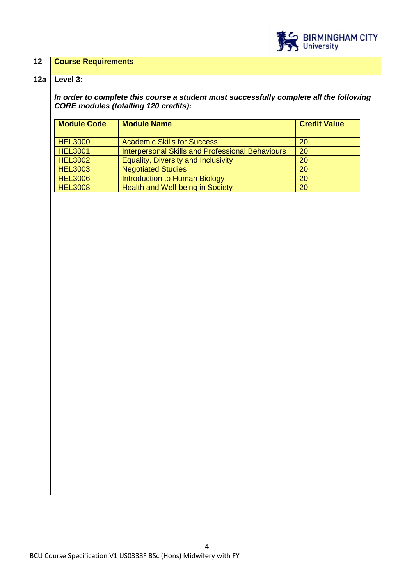

### **12 Course Requirements**

#### **12a Level 3:**

*In order to complete this course a student must successfully complete all the following CORE modules (totalling 120 credits):*

| <b>Module Code</b> | <b>Module Name</b>                                      | <b>Credit Value</b> |
|--------------------|---------------------------------------------------------|---------------------|
| <b>HEL3000</b>     | <b>Academic Skills for Success</b>                      | 20                  |
| <b>HEL3001</b>     | <b>Interpersonal Skills and Professional Behaviours</b> | 20                  |
| <b>HEL3002</b>     | <b>Equality, Diversity and Inclusivity</b>              | 20                  |
| <b>HEL3003</b>     | <b>Negotiated Studies</b>                               | 20                  |
| <b>HEL3006</b>     | Introduction to Human Biology                           | 20                  |
| <b>HEL3008</b>     | Health and Well-being in Society                        | 20                  |